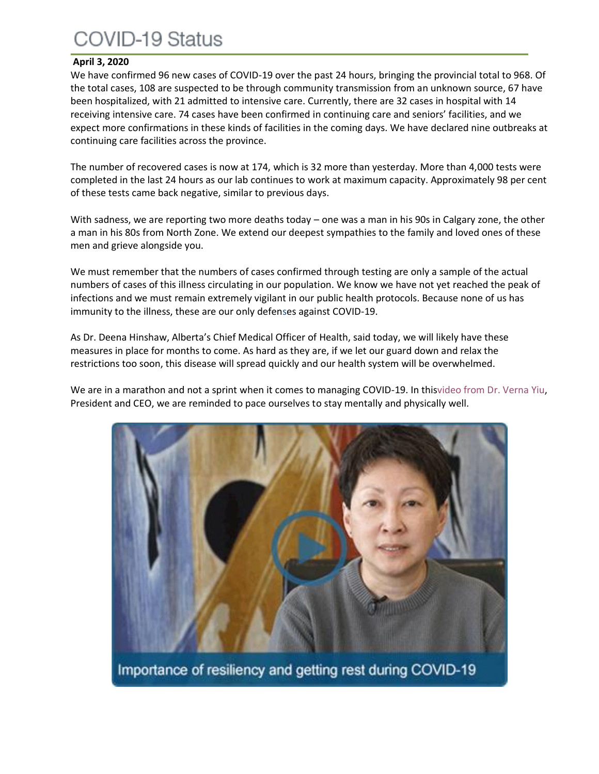# COVID-19 Status

### **April 3, 2020**

We have confirmed 96 new cases of COVID-19 over the past 24 hours, bringing the provincial total to 968. Of the total cases, 108 are suspected to be through community transmission from an unknown source, 67 have been hospitalized, with 21 admitted to intensive care. Currently, there are 32 cases in hospital with 14 receiving intensive care. 74 cases have been confirmed in continuing care and seniors' facilities, and we expect more confirmations in these kinds of facilities in the coming days. We have declared nine outbreaks at continuing care facilities across the province.

The number of recovered cases is now at 174, which is 32 more than yesterday. More than 4,000 tests were completed in the last 24 hours as our lab continues to work at maximum capacity. Approximately 98 per cent of these tests came back negative, similar to previous days.

With sadness, we are reporting two more deaths today – one was a man in his 90s in Calgary zone, the other a man in his 80s from North Zone. We extend our deepest sympathies to the family and loved ones of these men and grieve alongside you.

We must remember that the numbers of cases confirmed through testing are only a sample of the actual numbers of cases of this illness circulating in our population. We know we have not yet reached the peak of infections and we must remain extremely vigilant in our public health protocols. Because none of us has immunity to the illness, these are our only defenses against COVID-19.

As Dr. Deena Hinshaw, Alberta's Chief Medical Officer of Health, said today, we will likely have these measures in place for months to come. As hard as they are, if we let our guard down and relax the restrictions too soon, this disease will spread quickly and our health system will be overwhelmed.

We are in a marathon and not a sprint when it comes to managing COVID-19. In thi[svideo from Dr. Verna Yiu,](https://www.albertahealthservices.ca/topics/page17050.aspx) President and CEO, we are reminded to pace ourselves to stay mentally and physically well.

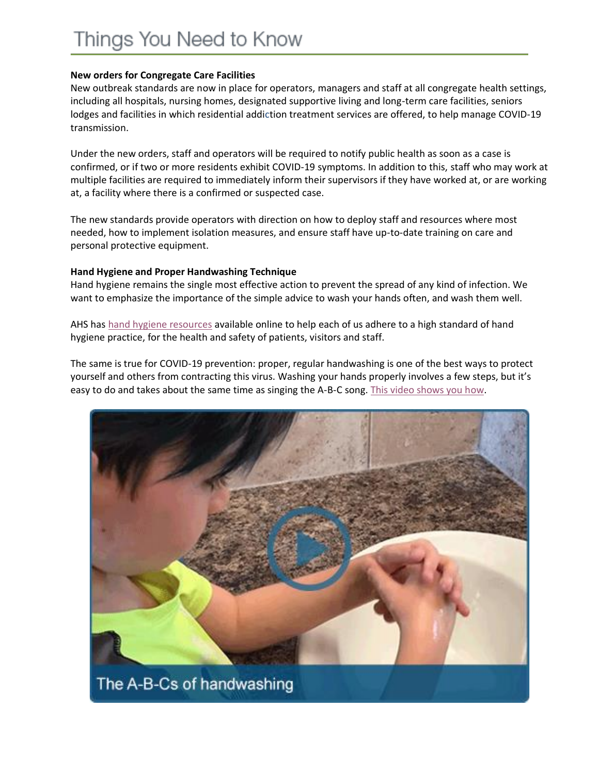### **New orders for Congregate Care Facilities**

New outbreak standards are now in place for operators, managers and staff at all congregate health settings, including all hospitals, nursing homes, designated supportive living and long-term care facilities, seniors lodges and facilities in which residential addiction treatment services are offered, to help manage COVID-19 transmission.

Under the new orders, staff and operators will be required to notify public health as soon as a case is confirmed, or if two or more residents exhibit COVID-19 symptoms. In addition to this, staff who may work at multiple facilities are required to immediately inform their supervisors if they have worked at, or are working at, a facility where there is a confirmed or suspected case.

The new standards provide operators with direction on how to deploy staff and resources where most needed, how to implement isolation measures, and ensure staff have up-to-date training on care and personal protective equipment.

#### **Hand Hygiene and Proper Handwashing Technique**

Hand hygiene remains the single most effective action to prevent the spread of any kind of infection. We want to emphasize the importance of the simple advice to wash your hands often, and wash them well.

AHS has [hand hygiene resources](https://www.albertahealthservices.ca/info/Page14955.aspx) available online to help each of us adhere to a high standard of hand hygiene practice, for the health and safety of patients, visitors and staff.

The same is true for COVID-19 prevention: proper, regular handwashing is one of the best ways to protect yourself and others from contracting this virus. Washing your hands properly involves a few steps, but it's easy to do and takes about the same time as singing the A-B-C song. [This video shows you how.](https://www.albertahealthservices.ca/topics/page17051.aspx)

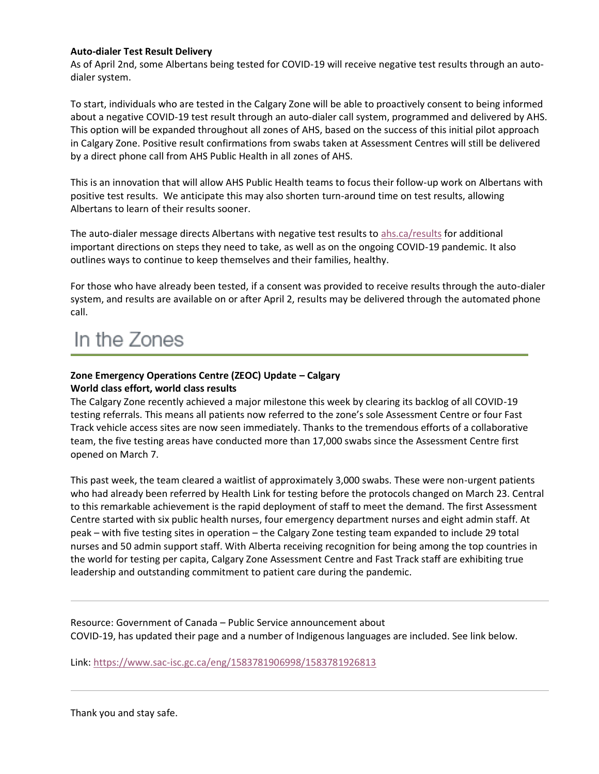#### **Auto-dialer Test Result Delivery**

As of April 2nd, some Albertans being tested for COVID-19 will receive negative test results through an autodialer system.

To start, individuals who are tested in the Calgary Zone will be able to proactively consent to being informed about a negative COVID-19 test result through an auto-dialer call system, programmed and delivered by AHS. This option will be expanded throughout all zones of AHS, based on the success of this initial pilot approach in Calgary Zone. Positive result confirmations from swabs taken at Assessment Centres will still be delivered by a direct phone call from AHS Public Health in all zones of AHS.

This is an innovation that will allow AHS Public Health teams to focus their follow-up work on Albertans with positive test results. We anticipate this may also shorten turn-around time on test results, allowing Albertans to learn of their results sooner.

The auto-dialer message directs Albertans with negative test results to [ahs.ca/results](http://ahs.ca/results) for additional important directions on steps they need to take, as well as on the ongoing COVID-19 pandemic. It also outlines ways to continue to keep themselves and their families, healthy.

For those who have already been tested, if a consent was provided to receive results through the auto-dialer system, and results are available on or after April 2, results may be delivered through the automated phone call.

## In the Zones

#### **Zone Emergency Operations Centre (ZEOC) Update – Calgary World class effort, world class results**

The Calgary Zone recently achieved a major milestone this week by clearing its backlog of all COVID-19 testing referrals. This means all patients now referred to the zone's sole Assessment Centre or four Fast Track vehicle access sites are now seen immediately. Thanks to the tremendous efforts of a collaborative team, the five testing areas have conducted more than 17,000 swabs since the Assessment Centre first opened on March 7.

This past week, the team cleared a waitlist of approximately 3,000 swabs. These were non-urgent patients who had already been referred by Health Link for testing before the protocols changed on March 23. Central to this remarkable achievement is the rapid deployment of staff to meet the demand. The first Assessment Centre started with six public health nurses, four emergency department nurses and eight admin staff. At peak – with five testing sites in operation – the Calgary Zone testing team expanded to include 29 total nurses and 50 admin support staff. With Alberta receiving recognition for being among the top countries in the world for testing per capita, Calgary Zone Assessment Centre and Fast Track staff are exhibiting true leadership and outstanding commitment to patient care during the pandemic.

Resource: Government of Canada – Public Service announcement about COVID-19, has updated their page and a number of Indigenous languages are included. See link below.

Link: <https://www.sac-isc.gc.ca/eng/1583781906998/1583781926813>

Thank you and stay safe.